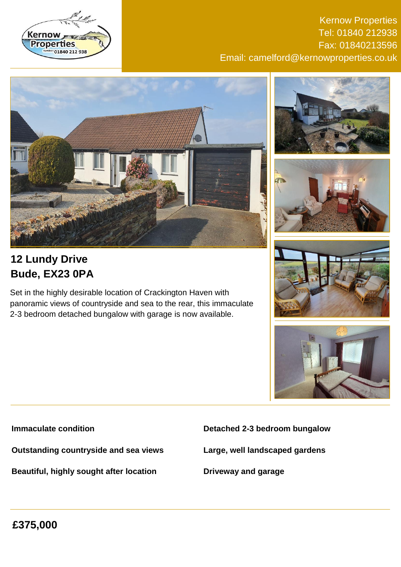

Kernow Properties Tel: 01840 212938 Fax: 01840213596 Email: camelford@kernowproperties.co.uk







# **12 Lundy Drive Bude, EX23 0PA**

Set in the highly desirable location of Crackington Haven with panoramic views of countryside and sea to the rear, this immaculate 2-3 bedroom detached bungalow with garage is now available.





**Immaculate condition**

**Outstanding countryside and sea views**

**Beautiful, highly sought after location**

**Detached 2-3 bedroom bungalow**

**Large, well landscaped gardens**

**Driveway and garage**